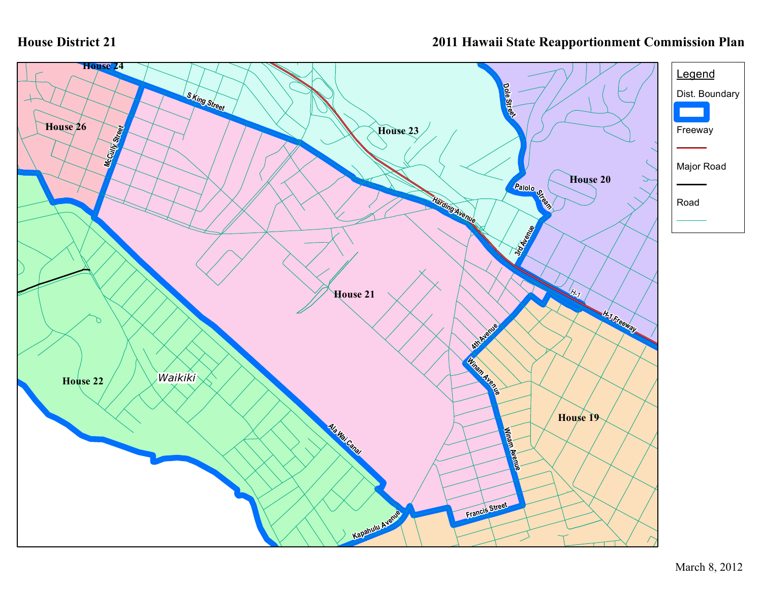## **House District 21**

## **2011 Hawaii State Reapportionment Commission Plan**